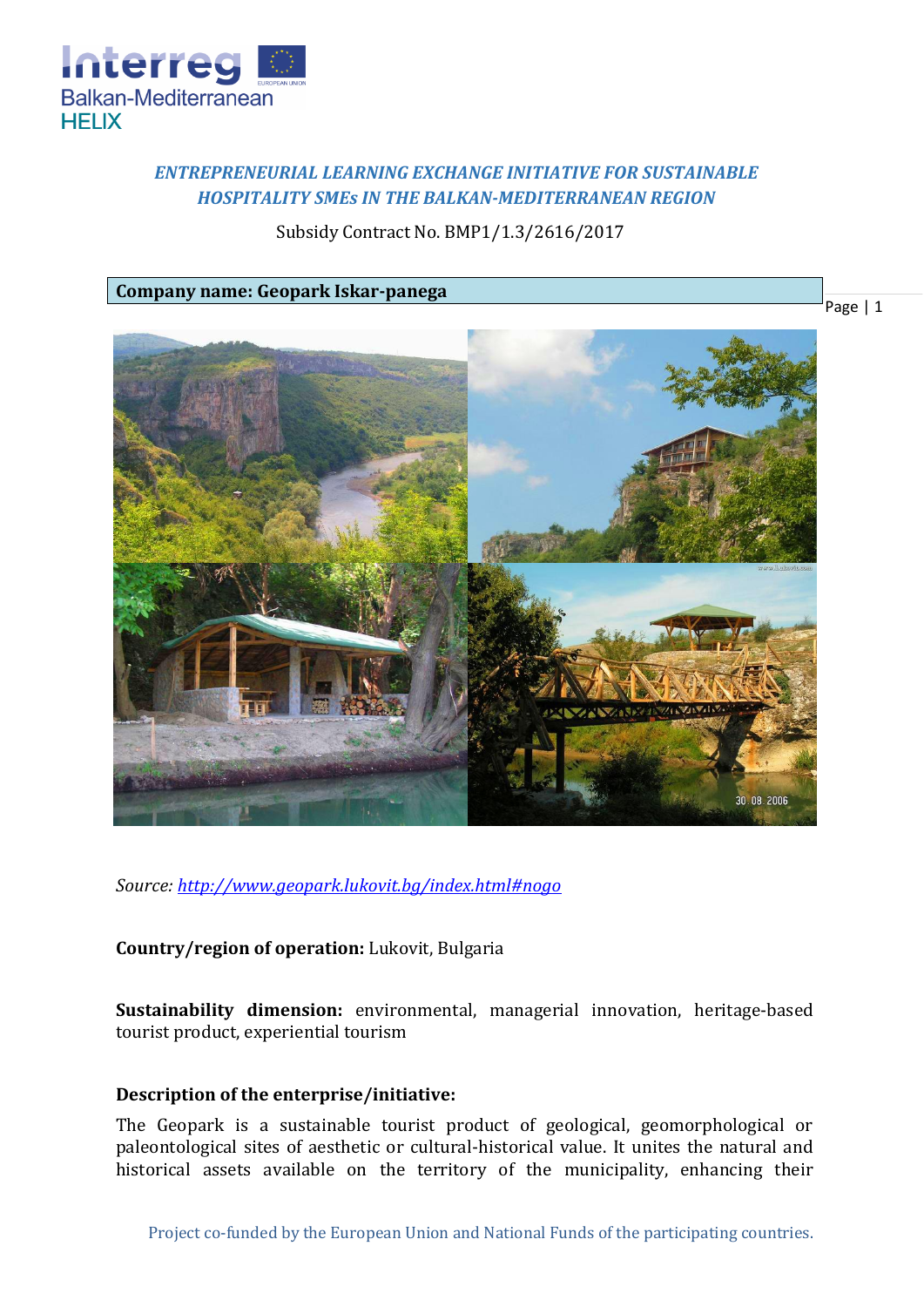

# *ENTREPRENEURIAL LEARNING EXCHANGE INITIATIVE FOR SUSTAINABLE HOSPITALITY SMEs IN THE BALKAN-MEDITERRANEAN REGION*

## Subsidy Contract No. BMP1/1.3/2616/2017

**Company name: Geopark Iskar-panega**



*Source:<http://www.geopark.lukovit.bg/index.html#nogo>*

**Country/region of operation:** Lukovit, Bulgaria

**Sustainability dimension:** environmental, managerial innovation, heritage-based tourist product, experiential tourism

### **Description of the enterprise/initiative:**

The Geopark is a sustainable tourist product of geological, geomorphological or paleontological sites of aesthetic or cultural-historical value. It unites the natural and historical assets available on the territory of the municipality, enhancing their

Page | 1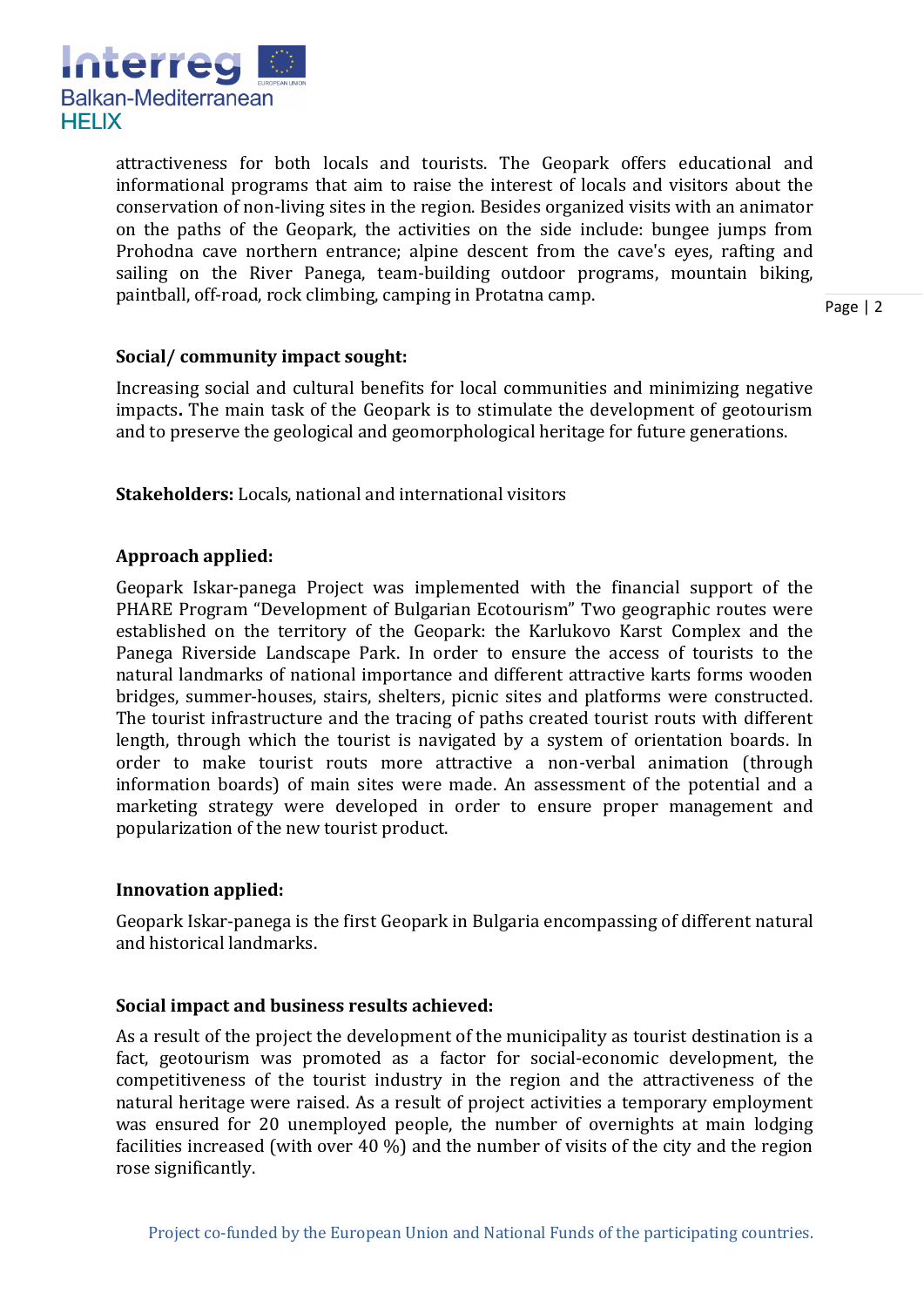

attractiveness for both locals and tourists. The Geopark offers educational and informational programs that aim to raise the interest of locals and visitors about the conservation of non-living sites in the region. Besides organized visits with an animator on the paths of the Geopark, the activities on the side include: bungee jumps from Prohodna cave northern entrance; alpine descent from the cave's eyes, rafting and sailing on the River Panega, team-building outdoor programs, mountain biking, paintball, off-road, rock climbing, camping in Protatna camp.

Page | 2

### **Social/ community impact sought:**

Increasing social and cultural benefits for local communities and minimizing negative impacts**.** The main task of the Geopark is to stimulate the development of geotourism and to preserve the geological and geomorphological heritage for future generations.

**Stakeholders:** Locals, national and international visitors

### **Approach applied:**

Geopark Iskar-panega Project was implemented with the financial support of the PHARE Program "Development of Bulgarian Ecotourism" Two geographic routes were established on the territory of the Geopark: the Karlukovo Karst Complex and the Panega Riverside Landscape Park. In order to ensure the access of tourists to the natural landmarks of national importance and different attractive karts forms wooden bridges, summer-houses, stairs, shelters, picnic sites and platforms were constructed. The tourist infrastructure and the tracing of paths created tourist routs with different length, through which the tourist is navigated by a system of orientation boards. In order to make tourist routs more attractive a non-verbal animation (through information boards) of main sites were made. An assessment of the potential and a marketing strategy were developed in order to ensure proper management and popularization of the new tourist product.

### **Innovation applied:**

Geopark Iskar-panega is the first Geopark in Bulgaria encompassing of different natural and historical landmarks.

#### **Social impact and business results achieved:**

As a result of the project the development of the municipality as tourist destination is a fact, geotourism was promoted as a factor for social-economic development, the competitiveness of the tourist industry in the region and the attractiveness of the natural heritage were raised. As a result of project activities a temporary employment was ensured for 20 unemployed people, the number of overnights at main lodging facilities increased (with over 40 %) and the number of visits of the city and the region rose significantly.